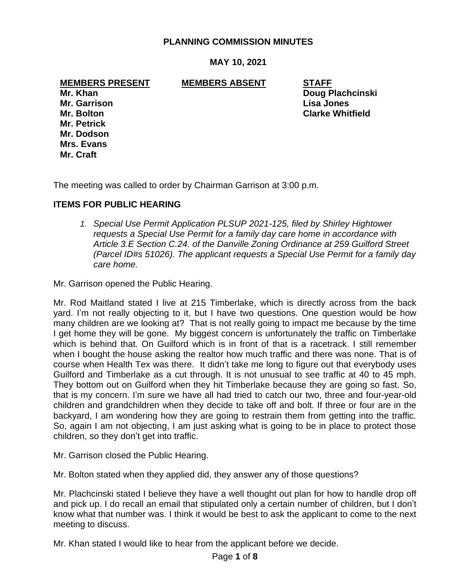## **PLANNING COMMISSION MINUTES**

**MAY 10, 2021**

**MEMBERS PRESENT MEMBERS ABSENT STAFF**

**Mr. Garrison Lisa Jones Mr. Petrick Mr. Dodson Mrs. Evans Mr. Craft**

**Mr. Khan Doug Plachcinski Mr. Bolton Clarke Whitfield**

The meeting was called to order by Chairman Garrison at 3:00 p.m.

# **ITEMS FOR PUBLIC HEARING**

*1. Special Use Permit Application PLSUP 2021-125, filed by Shirley Hightower requests a Special Use Permit for a family day care home in accordance with Article 3.E Section C.24. of the Danville Zoning Ordinance at 259 Guilford Street (Parcel ID#s 51026). The applicant requests a Special Use Permit for a family day care home.*

Mr. Garrison opened the Public Hearing.

Mr. Rod Maitland stated I live at 215 Timberlake, which is directly across from the back yard. I'm not really objecting to it, but I have two questions. One question would be how many children are we looking at? That is not really going to impact me because by the time I get home they will be gone. My biggest concern is unfortunately the traffic on Timberlake which is behind that. On Guilford which is in front of that is a racetrack. I still remember when I bought the house asking the realtor how much traffic and there was none. That is of course when Health Tex was there. It didn't take me long to figure out that everybody uses Guilford and Timberlake as a cut through. It is not unusual to see traffic at 40 to 45 mph. They bottom out on Guilford when they hit Timberlake because they are going so fast. So, that is my concern. I'm sure we have all had tried to catch our two, three and four-year-old children and grandchildren when they decide to take off and bolt. If three or four are in the backyard, I am wondering how they are going to restrain them from getting into the traffic. So, again I am not objecting, I am just asking what is going to be in place to protect those children, so they don't get into traffic.

Mr. Garrison closed the Public Hearing.

Mr. Bolton stated when they applied did, they answer any of those questions?

Mr. Plachcinski stated I believe they have a well thought out plan for how to handle drop off and pick up. I do recall an email that stipulated only a certain number of children, but I don't know what that number was. I think it would be best to ask the applicant to come to the next meeting to discuss.

Mr. Khan stated I would like to hear from the applicant before we decide.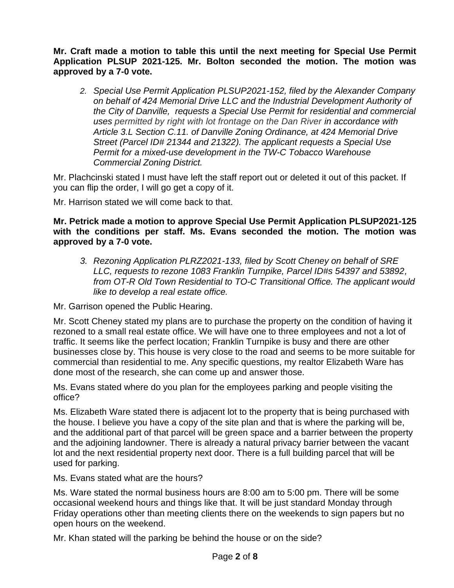**Mr. Craft made a motion to table this until the next meeting for Special Use Permit Application PLSUP 2021-125. Mr. Bolton seconded the motion. The motion was approved by a 7-0 vote.**

*2. Special Use Permit Application PLSUP2021-152, filed by the Alexander Company on behalf of 424 Memorial Drive LLC and the Industrial Development Authority of the City of Danville, requests a Special Use Permit for residential and commercial uses permitted by right with lot frontage on the Dan River in accordance with Article 3.L Section C.11. of Danville Zoning Ordinance, at 424 Memorial Drive Street (Parcel ID# 21344 and 21322). The applicant requests a Special Use Permit for a mixed-use development in the TW-C Tobacco Warehouse Commercial Zoning District.*

Mr. Plachcinski stated I must have left the staff report out or deleted it out of this packet. If you can flip the order, I will go get a copy of it.

Mr. Harrison stated we will come back to that.

## **Mr. Petrick made a motion to approve Special Use Permit Application PLSUP2021-125 with the conditions per staff. Ms. Evans seconded the motion. The motion was approved by a 7-0 vote.**

*3. Rezoning Application PLRZ2021-133, filed by Scott Cheney on behalf of SRE LLC, requests to rezone 1083 Franklin Turnpike, Parcel ID#s 54397 and 53892, from OT-R Old Town Residential to TO-C Transitional Office. The applicant would like to develop a real estate office.*

Mr. Garrison opened the Public Hearing.

Mr. Scott Cheney stated my plans are to purchase the property on the condition of having it rezoned to a small real estate office. We will have one to three employees and not a lot of traffic. It seems like the perfect location; Franklin Turnpike is busy and there are other businesses close by. This house is very close to the road and seems to be more suitable for commercial than residential to me. Any specific questions, my realtor Elizabeth Ware has done most of the research, she can come up and answer those.

Ms. Evans stated where do you plan for the employees parking and people visiting the office?

Ms. Elizabeth Ware stated there is adjacent lot to the property that is being purchased with the house. I believe you have a copy of the site plan and that is where the parking will be, and the additional part of that parcel will be green space and a barrier between the property and the adjoining landowner. There is already a natural privacy barrier between the vacant lot and the next residential property next door. There is a full building parcel that will be used for parking.

Ms. Evans stated what are the hours?

Ms. Ware stated the normal business hours are 8:00 am to 5:00 pm. There will be some occasional weekend hours and things like that. It will be just standard Monday through Friday operations other than meeting clients there on the weekends to sign papers but no open hours on the weekend.

Mr. Khan stated will the parking be behind the house or on the side?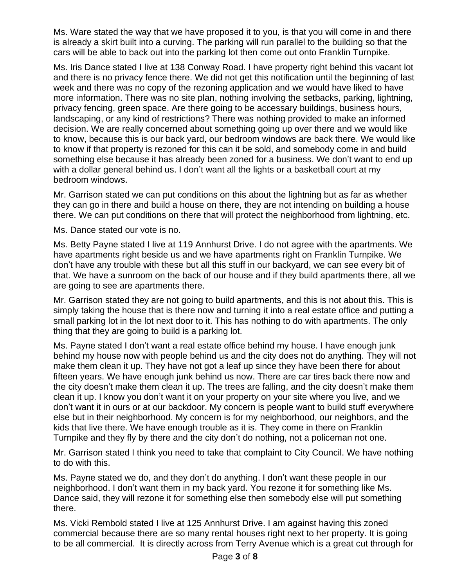Ms. Ware stated the way that we have proposed it to you, is that you will come in and there is already a skirt built into a curving. The parking will run parallel to the building so that the cars will be able to back out into the parking lot then come out onto Franklin Turnpike.

Ms. Iris Dance stated I live at 138 Conway Road. I have property right behind this vacant lot and there is no privacy fence there. We did not get this notification until the beginning of last week and there was no copy of the rezoning application and we would have liked to have more information. There was no site plan, nothing involving the setbacks, parking, lightning, privacy fencing, green space. Are there going to be accessary buildings, business hours, landscaping, or any kind of restrictions? There was nothing provided to make an informed decision. We are really concerned about something going up over there and we would like to know, because this is our back yard, our bedroom windows are back there. We would like to know if that property is rezoned for this can it be sold, and somebody come in and build something else because it has already been zoned for a business. We don't want to end up with a dollar general behind us. I don't want all the lights or a basketball court at my bedroom windows.

Mr. Garrison stated we can put conditions on this about the lightning but as far as whether they can go in there and build a house on there, they are not intending on building a house there. We can put conditions on there that will protect the neighborhood from lightning, etc.

Ms. Dance stated our vote is no.

Ms. Betty Payne stated I live at 119 Annhurst Drive. I do not agree with the apartments. We have apartments right beside us and we have apartments right on Franklin Turnpike. We don't have any trouble with these but all this stuff in our backyard, we can see every bit of that. We have a sunroom on the back of our house and if they build apartments there, all we are going to see are apartments there.

Mr. Garrison stated they are not going to build apartments, and this is not about this. This is simply taking the house that is there now and turning it into a real estate office and putting a small parking lot in the lot next door to it. This has nothing to do with apartments. The only thing that they are going to build is a parking lot.

Ms. Payne stated I don't want a real estate office behind my house. I have enough junk behind my house now with people behind us and the city does not do anything. They will not make them clean it up. They have not got a leaf up since they have been there for about fifteen years. We have enough junk behind us now. There are car tires back there now and the city doesn't make them clean it up. The trees are falling, and the city doesn't make them clean it up. I know you don't want it on your property on your site where you live, and we don't want it in ours or at our backdoor. My concern is people want to build stuff everywhere else but in their neighborhood. My concern is for my neighborhood, our neighbors, and the kids that live there. We have enough trouble as it is. They come in there on Franklin Turnpike and they fly by there and the city don't do nothing, not a policeman not one.

Mr. Garrison stated I think you need to take that complaint to City Council. We have nothing to do with this.

Ms. Payne stated we do, and they don't do anything. I don't want these people in our neighborhood. I don't want them in my back yard. You rezone it for something like Ms. Dance said, they will rezone it for something else then somebody else will put something there.

Ms. Vicki Rembold stated I live at 125 Annhurst Drive. I am against having this zoned commercial because there are so many rental houses right next to her property. It is going to be all commercial. It is directly across from Terry Avenue which is a great cut through for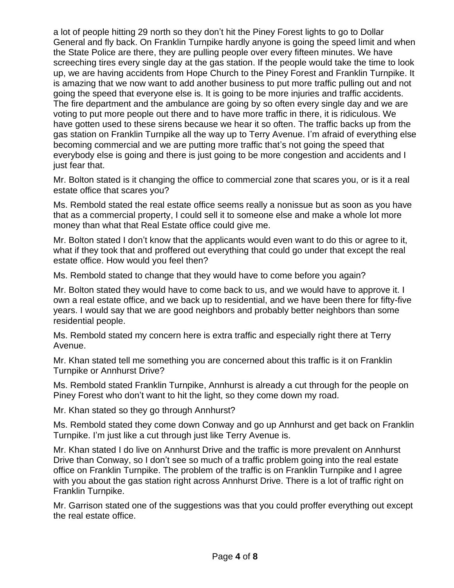a lot of people hitting 29 north so they don't hit the Piney Forest lights to go to Dollar General and fly back. On Franklin Turnpike hardly anyone is going the speed limit and when the State Police are there, they are pulling people over every fifteen minutes. We have screeching tires every single day at the gas station. If the people would take the time to look up, we are having accidents from Hope Church to the Piney Forest and Franklin Turnpike. It is amazing that we now want to add another business to put more traffic pulling out and not going the speed that everyone else is. It is going to be more injuries and traffic accidents. The fire department and the ambulance are going by so often every single day and we are voting to put more people out there and to have more traffic in there, it is ridiculous. We have gotten used to these sirens because we hear it so often. The traffic backs up from the gas station on Franklin Turnpike all the way up to Terry Avenue. I'm afraid of everything else becoming commercial and we are putting more traffic that's not going the speed that everybody else is going and there is just going to be more congestion and accidents and I just fear that.

Mr. Bolton stated is it changing the office to commercial zone that scares you, or is it a real estate office that scares you?

Ms. Rembold stated the real estate office seems really a nonissue but as soon as you have that as a commercial property, I could sell it to someone else and make a whole lot more money than what that Real Estate office could give me.

Mr. Bolton stated I don't know that the applicants would even want to do this or agree to it, what if they took that and proffered out everything that could go under that except the real estate office. How would you feel then?

Ms. Rembold stated to change that they would have to come before you again?

Mr. Bolton stated they would have to come back to us, and we would have to approve it. I own a real estate office, and we back up to residential, and we have been there for fifty-five years. I would say that we are good neighbors and probably better neighbors than some residential people.

Ms. Rembold stated my concern here is extra traffic and especially right there at Terry Avenue.

Mr. Khan stated tell me something you are concerned about this traffic is it on Franklin Turnpike or Annhurst Drive?

Ms. Rembold stated Franklin Turnpike, Annhurst is already a cut through for the people on Piney Forest who don't want to hit the light, so they come down my road.

Mr. Khan stated so they go through Annhurst?

Ms. Rembold stated they come down Conway and go up Annhurst and get back on Franklin Turnpike. I'm just like a cut through just like Terry Avenue is.

Mr. Khan stated I do live on Annhurst Drive and the traffic is more prevalent on Annhurst Drive than Conway, so I don't see so much of a traffic problem going into the real estate office on Franklin Turnpike. The problem of the traffic is on Franklin Turnpike and I agree with you about the gas station right across Annhurst Drive. There is a lot of traffic right on Franklin Turnpike.

Mr. Garrison stated one of the suggestions was that you could proffer everything out except the real estate office.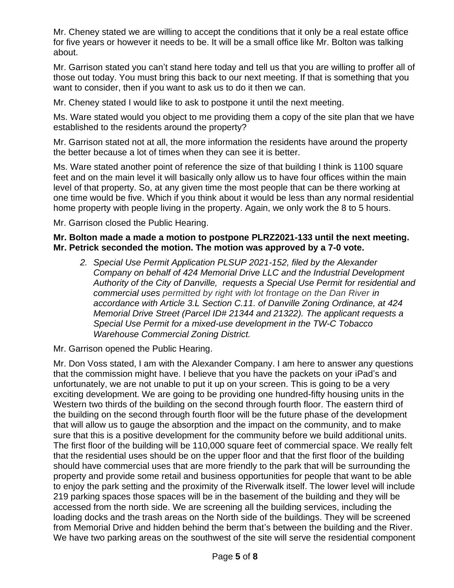Mr. Cheney stated we are willing to accept the conditions that it only be a real estate office for five years or however it needs to be. It will be a small office like Mr. Bolton was talking about.

Mr. Garrison stated you can't stand here today and tell us that you are willing to proffer all of those out today. You must bring this back to our next meeting. If that is something that you want to consider, then if you want to ask us to do it then we can.

Mr. Cheney stated I would like to ask to postpone it until the next meeting.

Ms. Ware stated would you object to me providing them a copy of the site plan that we have established to the residents around the property?

Mr. Garrison stated not at all, the more information the residents have around the property the better because a lot of times when they can see it is better.

Ms. Ware stated another point of reference the size of that building I think is 1100 square feet and on the main level it will basically only allow us to have four offices within the main level of that property. So, at any given time the most people that can be there working at one time would be five. Which if you think about it would be less than any normal residential home property with people living in the property. Again, we only work the 8 to 5 hours.

Mr. Garrison closed the Public Hearing.

## **Mr. Bolton made a made a motion to postpone PLRZ2021-133 until the next meeting. Mr. Petrick seconded the motion. The motion was approved by a 7-0 vote.**

*2. Special Use Permit Application PLSUP 2021-152, filed by the Alexander Company on behalf of 424 Memorial Drive LLC and the Industrial Development Authority of the City of Danville, requests a Special Use Permit for residential and commercial uses permitted by right with lot frontage on the Dan River in accordance with Article 3.L Section C.11. of Danville Zoning Ordinance, at 424 Memorial Drive Street (Parcel ID# 21344 and 21322). The applicant requests a Special Use Permit for a mixed-use development in the TW-C Tobacco Warehouse Commercial Zoning District.*

Mr. Garrison opened the Public Hearing.

Mr. Don Voss stated, I am with the Alexander Company. I am here to answer any questions that the commission might have. I believe that you have the packets on your iPad's and unfortunately, we are not unable to put it up on your screen. This is going to be a very exciting development. We are going to be providing one hundred-fifty housing units in the Western two thirds of the building on the second through fourth floor. The eastern third of the building on the second through fourth floor will be the future phase of the development that will allow us to gauge the absorption and the impact on the community, and to make sure that this is a positive development for the community before we build additional units. The first floor of the building will be 110,000 square feet of commercial space. We really felt that the residential uses should be on the upper floor and that the first floor of the building should have commercial uses that are more friendly to the park that will be surrounding the property and provide some retail and business opportunities for people that want to be able to enjoy the park setting and the proximity of the Riverwalk itself. The lower level will include 219 parking spaces those spaces will be in the basement of the building and they will be accessed from the north side. We are screening all the building services, including the loading docks and the trash areas on the North side of the buildings. They will be screened from Memorial Drive and hidden behind the berm that's between the building and the River. We have two parking areas on the southwest of the site will serve the residential component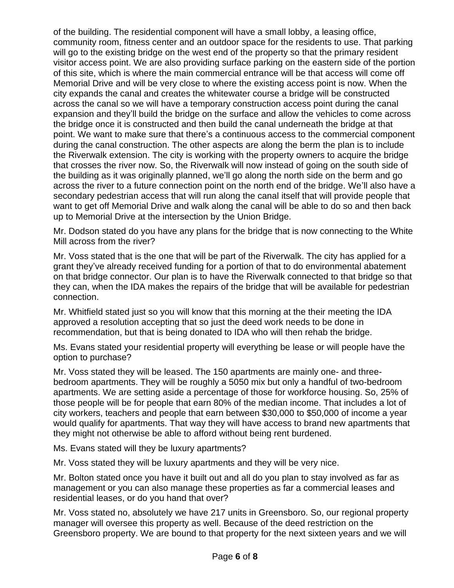of the building. The residential component will have a small lobby, a leasing office, community room, fitness center and an outdoor space for the residents to use. That parking will go to the existing bridge on the west end of the property so that the primary resident visitor access point. We are also providing surface parking on the eastern side of the portion of this site, which is where the main commercial entrance will be that access will come off Memorial Drive and will be very close to where the existing access point is now. When the city expands the canal and creates the whitewater course a bridge will be constructed across the canal so we will have a temporary construction access point during the canal expansion and they'll build the bridge on the surface and allow the vehicles to come across the bridge once it is constructed and then build the canal underneath the bridge at that point. We want to make sure that there's a continuous access to the commercial component during the canal construction. The other aspects are along the berm the plan is to include the Riverwalk extension. The city is working with the property owners to acquire the bridge that crosses the river now. So, the Riverwalk will now instead of going on the south side of the building as it was originally planned, we'll go along the north side on the berm and go across the river to a future connection point on the north end of the bridge. We'll also have a secondary pedestrian access that will run along the canal itself that will provide people that want to get off Memorial Drive and walk along the canal will be able to do so and then back up to Memorial Drive at the intersection by the Union Bridge.

Mr. Dodson stated do you have any plans for the bridge that is now connecting to the White Mill across from the river?

Mr. Voss stated that is the one that will be part of the Riverwalk. The city has applied for a grant they've already received funding for a portion of that to do environmental abatement on that bridge connector. Our plan is to have the Riverwalk connected to that bridge so that they can, when the IDA makes the repairs of the bridge that will be available for pedestrian connection.

Mr. Whitfield stated just so you will know that this morning at the their meeting the IDA approved a resolution accepting that so just the deed work needs to be done in recommendation, but that is being donated to IDA who will then rehab the bridge.

Ms. Evans stated your residential property will everything be lease or will people have the option to purchase?

Mr. Voss stated they will be leased. The 150 apartments are mainly one- and threebedroom apartments. They will be roughly a 5050 mix but only a handful of two-bedroom apartments. We are setting aside a percentage of those for workforce housing. So, 25% of those people will be for people that earn 80% of the median income. That includes a lot of city workers, teachers and people that earn between \$30,000 to \$50,000 of income a year would qualify for apartments. That way they will have access to brand new apartments that they might not otherwise be able to afford without being rent burdened.

Ms. Evans stated will they be luxury apartments?

Mr. Voss stated they will be luxury apartments and they will be very nice.

Mr. Bolton stated once you have it built out and all do you plan to stay involved as far as management or you can also manage these properties as far a commercial leases and residential leases, or do you hand that over?

Mr. Voss stated no, absolutely we have 217 units in Greensboro. So, our regional property manager will oversee this property as well. Because of the deed restriction on the Greensboro property. We are bound to that property for the next sixteen years and we will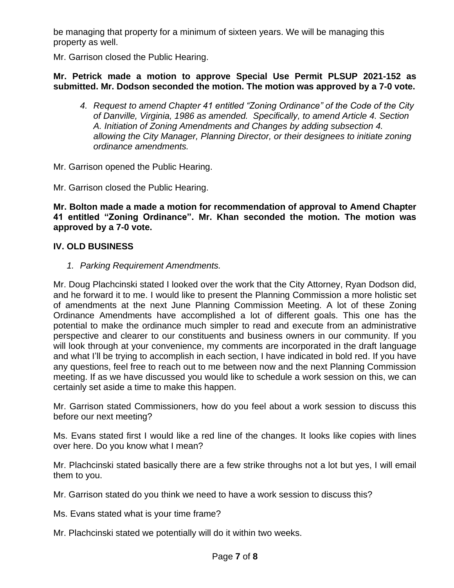be managing that property for a minimum of sixteen years. We will be managing this property as well.

Mr. Garrison closed the Public Hearing.

## **Mr. Petrick made a motion to approve Special Use Permit PLSUP 2021-152 as submitted. Mr. Dodson seconded the motion. The motion was approved by a 7-0 vote.**

*4. Request to amend Chapter 41 entitled "Zoning Ordinance" of the Code of the City of Danville, Virginia, 1986 as amended. Specifically, to amend Article 4. Section A. Initiation of Zoning Amendments and Changes by adding subsection 4. allowing the City Manager, Planning Director, or their designees to initiate zoning ordinance amendments.*

Mr. Garrison opened the Public Hearing.

Mr. Garrison closed the Public Hearing.

**Mr. Bolton made a made a motion for recommendation of approval to Amend Chapter 41 entitled "Zoning Ordinance". Mr. Khan seconded the motion. The motion was approved by a 7-0 vote.**

# **IV. OLD BUSINESS**

*1. Parking Requirement Amendments.*

Mr. Doug Plachcinski stated I looked over the work that the City Attorney, Ryan Dodson did, and he forward it to me. I would like to present the Planning Commission a more holistic set of amendments at the next June Planning Commission Meeting. A lot of these Zoning Ordinance Amendments have accomplished a lot of different goals. This one has the potential to make the ordinance much simpler to read and execute from an administrative perspective and clearer to our constituents and business owners in our community. If you will look through at your convenience, my comments are incorporated in the draft language and what I'll be trying to accomplish in each section, I have indicated in bold red. If you have any questions, feel free to reach out to me between now and the next Planning Commission meeting. If as we have discussed you would like to schedule a work session on this, we can certainly set aside a time to make this happen.

Mr. Garrison stated Commissioners, how do you feel about a work session to discuss this before our next meeting?

Ms. Evans stated first I would like a red line of the changes. It looks like copies with lines over here. Do you know what I mean?

Mr. Plachcinski stated basically there are a few strike throughs not a lot but yes, I will email them to you.

Mr. Garrison stated do you think we need to have a work session to discuss this?

Ms. Evans stated what is your time frame?

Mr. Plachcinski stated we potentially will do it within two weeks.